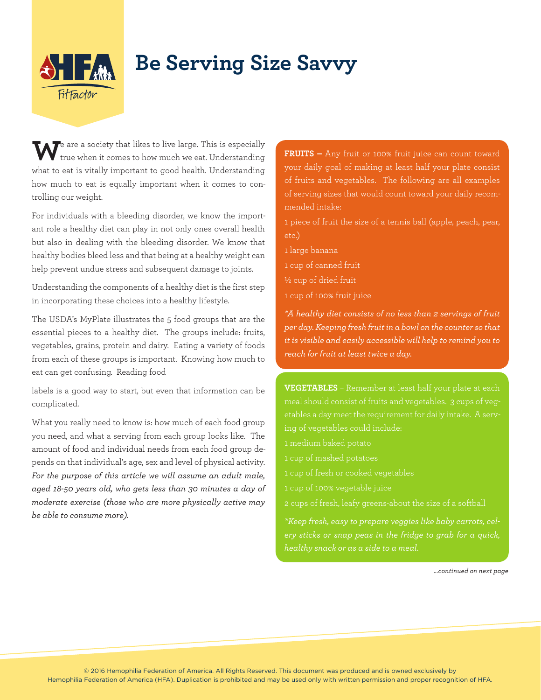

## **Be Serving Size Savvy**

We are a society that likes to live large. This is especially true when it comes to how much we eat. Understanding what to eat is vitally important to good health. Understanding how much to eat is equally important when it comes to controlling our weight.

For individuals with a bleeding disorder, we know the important role a healthy diet can play in not only ones overall health but also in dealing with the bleeding disorder. We know that healthy bodies bleed less and that being at a healthy weight can help prevent undue stress and subsequent damage to joints.

Understanding the components of a healthy diet is the first step in incorporating these choices into a healthy lifestyle.

The USDA's MyPlate illustrates the 5 food groups that are the essential pieces to a healthy diet. The groups include: fruits, vegetables, grains, protein and dairy. Eating a variety of foods from each of these groups is important. Knowing how much to eat can get confusing. Reading food

labels is a good way to start, but even that information can be complicated.

What you really need to know is: how much of each food group you need, and what a serving from each group looks like. The amount of food and individual needs from each food group depends on that individual's age, sex and level of physical activity. *For the purpose of this article we will assume an adult male, aged 18-50 years old, who gets less than 30 minutes a day of moderate exercise (those who are more physically active may be able to consume more).*

**FRUITS –** Any fruit or 100% fruit juice can count toward your daily goal of making at least half your plate consist of fruits and vegetables. The following are all examples of serving sizes that would count toward your daily recommended intake:

1 piece of fruit the size of a tennis ball (apple, peach, pear, etc.)

- 1 large banana
- 1 cup of canned fruit
- ½ cup of dried fruit
- 1 cup of 100% fruit juice

*\*A healthy diet consists of no less than 2 servings of fruit per day. Keeping fresh fruit in a bowl on the counter so that it is visible and easily accessible will help to remind you to reach for fruit at least twice a day.*

**VEGETABLES** – Remember at least half your plate at each meal should consist of fruits and vegetables. 3 cups of vegetables a day meet the requirement for daily intake. A serv-

- 1 medium baked potato
- 1 cup of mashed potatoes
- 1 cup of fresh or cooked vegetables
- 1 cup of 100% vegetable juice

*\*Keep fresh, easy to prepare veggies like baby carrots, celery sticks or snap peas in the fridge to grab for a quick, healthy snack or as a side to a meal.*

*…continued on next page*